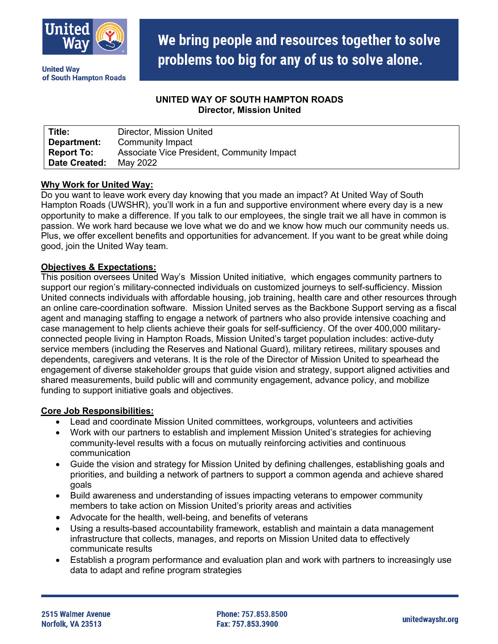

**United Wav** of South Hampton Roads

# We bring people and resources together to solve problems too big for any of us to solve alone.

## **UNITED WAY OF SOUTH HAMPTON ROADS Director, Mission United**

| Title:        | Director, Mission United                   |
|---------------|--------------------------------------------|
| Department:   | Community Impact                           |
| Report To:    | Associate Vice President, Community Impact |
| Date Created: | May 2022                                   |

### **Why Work for United Way:**

Do you want to leave work every day knowing that you made an impact? At United Way of South Hampton Roads (UWSHR), you'll work in a fun and supportive environment where every day is a new opportunity to make a difference. If you talk to our employees, the single trait we all have in common is passion. We work hard because we love what we do and we know how much our community needs us. Plus, we offer excellent benefits and opportunities for advancement. If you want to be great while doing good, join the United Way team.

#### **Objectives & Expectations:**

This position oversees United Way's Mission United initiative, which engages community partners to support our region's military-connected individuals on customized journeys to self-sufficiency. Mission United connects individuals with affordable housing, job training, health care and other resources through an online care-coordination software. Mission United serves as the Backbone Support serving as a fiscal agent and managing staffing to engage a network of partners who also provide intensive coaching and case management to help clients achieve their goals for self-sufficiency. Of the over 400,000 militaryconnected people living in Hampton Roads, Mission United's target population includes: active-duty service members (including the Reserves and National Guard), military retirees, military spouses and dependents, caregivers and veterans. It is the role of the Director of Mission United to spearhead the engagement of diverse stakeholder groups that guide vision and strategy, support aligned activities and shared measurements, build public will and community engagement, advance policy, and mobilize funding to support initiative goals and objectives.

#### **Core Job Responsibilities:**

- Lead and coordinate Mission United committees, workgroups, volunteers and activities
- Work with our partners to establish and implement Mission United's strategies for achieving community-level results with a focus on mutually reinforcing activities and continuous communication
- Guide the vision and strategy for Mission United by defining challenges, establishing goals and priorities, and building a network of partners to support a common agenda and achieve shared goals
- Build awareness and understanding of issues impacting veterans to empower community members to take action on Mission United's priority areas and activities
- Advocate for the health, well-being, and benefits of veterans
- Using a results-based accountability framework, establish and maintain a data management infrastructure that collects, manages, and reports on Mission United data to effectively communicate results
- Establish a program performance and evaluation plan and work with partners to increasingly use data to adapt and refine program strategies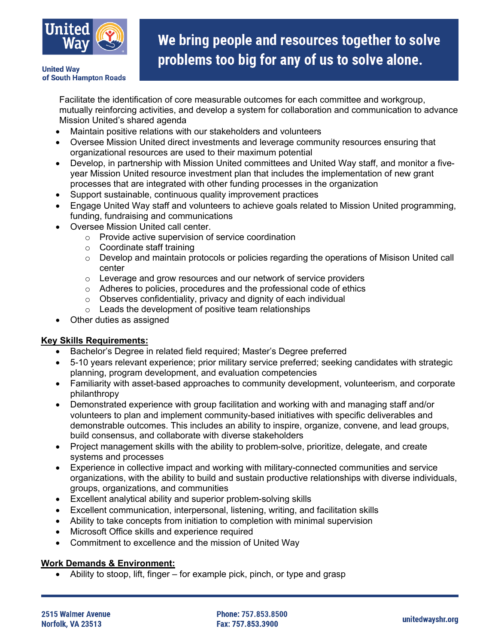

## We bring people and resources together to solve problems too big for any of us to solve alone.

**United Wav** of South Hampton Roads

> Facilitate the identification of core measurable outcomes for each committee and workgroup, mutually reinforcing activities, and develop a system for collaboration and communication to advance Mission United's shared agenda

- Maintain positive relations with our stakeholders and volunteers
- Oversee Mission United direct investments and leverage community resources ensuring that organizational resources are used to their maximum potential
- Develop, in partnership with Mission United committees and United Way staff, and monitor a fiveyear Mission United resource investment plan that includes the implementation of new grant processes that are integrated with other funding processes in the organization
- Support sustainable, continuous quality improvement practices
- Engage United Way staff and volunteers to achieve goals related to Mission United programming, funding, fundraising and communications
- Oversee Mission United call center.
	- o Provide active supervision of service coordination
	- o Coordinate staff training
	- $\circ$  Develop and maintain protocols or policies regarding the operations of Misison United call center
	- o Leverage and grow resources and our network of service providers
	- o Adheres to policies, procedures and the professional code of ethics
	- o Observes confidentiality, privacy and dignity of each individual
	- $\circ$  Leads the development of positive team relationships
- Other duties as assigned

#### **Key Skills Requirements:**

- Bachelor's Degree in related field required; Master's Degree preferred
- 5-10 years relevant experience; prior military service preferred; seeking candidates with strategic planning, program development, and evaluation competencies
- Familiarity with asset-based approaches to community development, volunteerism, and corporate philanthropy
- Demonstrated experience with group facilitation and working with and managing staff and/or volunteers to plan and implement community-based initiatives with specific deliverables and demonstrable outcomes. This includes an ability to inspire, organize, convene, and lead groups, build consensus, and collaborate with diverse stakeholders
- Project management skills with the ability to problem-solve, prioritize, delegate, and create systems and processes
- Experience in collective impact and working with military-connected communities and service organizations, with the ability to build and sustain productive relationships with diverse individuals, groups, organizations, and communities
- Excellent analytical ability and superior problem-solving skills
- Excellent communication, interpersonal, listening, writing, and facilitation skills
- Ability to take concepts from initiation to completion with minimal supervision
- Microsoft Office skills and experience required
- Commitment to excellence and the mission of United Way

## **Work Demands & Environment:**

• Ability to stoop, lift, finger – for example pick, pinch, or type and grasp